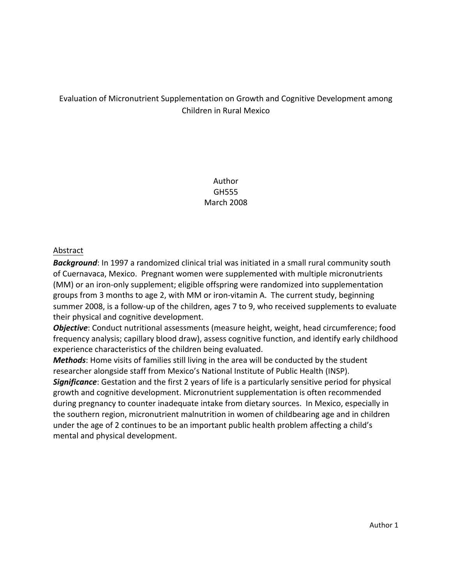# Evaluation of Micronutrient Supplementation on Growth and Cognitive Development among Children in Rural Mexico

Author GH555 March 2008

#### Abstract

**Background**: In 1997 a randomized clinical trial was initiated in a small rural community south of Cuernavaca, Mexico. Pregnant women were supplemented with multiple micronutrients (MM) or an iron-only supplement; eligible offspring were randomized into supplementation groups from 3 months to age 2, with MM or iron-vitamin A. The current study, beginning summer 2008, is a follow-up of the children, ages 7 to 9, who received supplements to evaluate their physical and cognitive development.

**Objective**: Conduct nutritional assessments (measure height, weight, head circumference; food frequency analysis; capillary blood draw), assess cognitive function, and identify early childhood experience characteristics of the children being evaluated.

**Methods**: Home visits of families still living in the area will be conducted by the student researcher alongside staff from Mexico's National Institute of Public Health (INSP).

**Significance**: Gestation and the first 2 years of life is a particularly sensitive period for physical growth and cognitive development. Micronutrient supplementation is often recommended during pregnancy to counter inadequate intake from dietary sources. In Mexico, especially in the southern region, micronutrient malnutrition in women of childbearing age and in children under the age of 2 continues to be an important public health problem affecting a child's mental and physical development.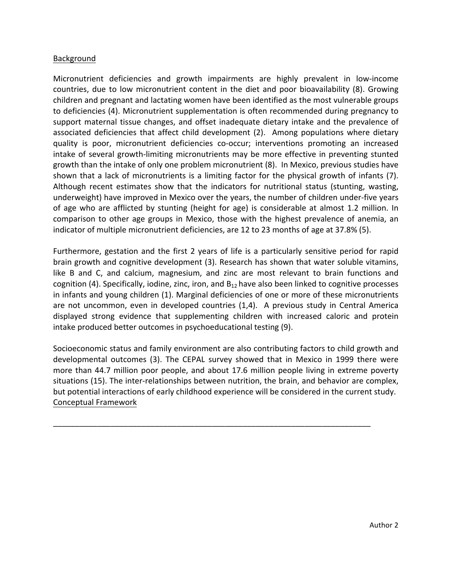### Background

Micronutrient deficiencies and growth impairments are highly prevalent in low-income countries, due to low micronutrient content in the diet and poor bioavailability (8). Growing children and pregnant and lactating women have been identified as the most vulnerable groups to deficiencies (4). Micronutrient supplementation is often recommended during pregnancy to support maternal tissue changes, and offset inadequate dietary intake and the prevalence of associated deficiencies that affect child development (2). Among populations where dietary quality is poor, micronutrient deficiencies co-occur; interventions promoting an increased intake of several growth-limiting micronutrients may be more effective in preventing stunted growth than the intake of only one problem micronutrient (8). In Mexico, previous studies have shown that a lack of micronutrients is a limiting factor for the physical growth of infants (7). Although recent estimates show that the indicators for nutritional status (stunting, wasting, underweight) have improved in Mexico over the years, the number of children under-five years of age who are afflicted by stunting (height for age) is considerable at almost 1.2 million. In comparison to other age groups in Mexico, those with the highest prevalence of anemia, an indicator of multiple micronutrient deficiencies, are 12 to 23 months of age at 37.8% (5).

Furthermore, gestation and the first 2 years of life is a particularly sensitive period for rapid brain growth and cognitive development (3). Research has shown that water soluble vitamins, like B and C, and calcium, magnesium, and zinc are most relevant to brain functions and cognition (4). Specifically, iodine, zinc, iron, and  $B_{12}$  have also been linked to cognitive processes in infants and young children (1). Marginal deficiencies of one or more of these micronutrients are not uncommon, even in developed countries  $(1,4)$ . A previous study in Central America displayed strong evidence that supplementing children with increased caloric and protein intake produced better outcomes in psychoeducational testing (9).

Socioeconomic status and family environment are also contributing factors to child growth and developmental outcomes (3). The CEPAL survey showed that in Mexico in 1999 there were more than 44.7 million poor people, and about 17.6 million people living in extreme poverty situations (15). The inter-relationships between nutrition, the brain, and behavior are complex, but potential interactions of early childhood experience will be considered in the current study. Conceptual Framework

\_\_\_\_\_\_\_\_\_\_\_\_\_\_\_\_\_\_\_\_\_\_\_\_\_\_\_\_\_\_\_\_\_\_\_\_\_\_\_\_\_\_\_\_\_\_\_\_\_\_\_\_\_\_\_\_\_\_\_\_\_\_\_\_\_\_\_\_\_\_\_\_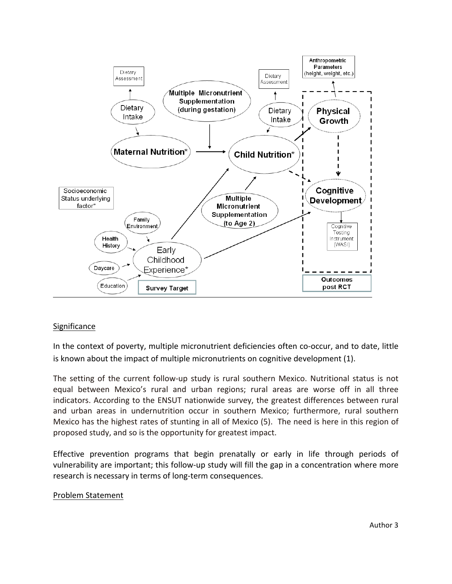

### **Significance**

In the context of poverty, multiple micronutrient deficiencies often co-occur, and to date, little is known about the impact of multiple micronutrients on cognitive development (1).

The setting of the current follow-up study is rural southern Mexico. Nutritional status is not equal between Mexico's rural and urban regions; rural areas are worse off in all three indicators. According to the ENSUT nationwide survey, the greatest differences between rural and urban areas in undernutrition occur in southern Mexico; furthermore, rural southern Mexico has the highest rates of stunting in all of Mexico (5). The need is here in this region of proposed study, and so is the opportunity for greatest impact.

Effective prevention programs that begin prenatally or early in life through periods of vulnerability are important; this follow-up study will fill the gap in a concentration where more research is necessary in terms of long-term consequences.

#### Problem Statement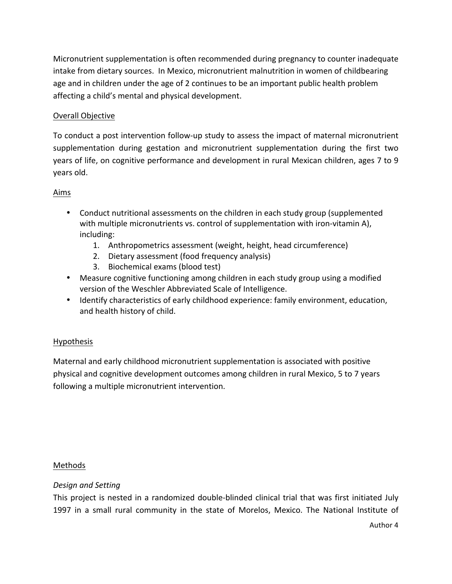Micronutrient supplementation is often recommended during pregnancy to counter inadequate intake from dietary sources. In Mexico, micronutrient malnutrition in women of childbearing age and in children under the age of 2 continues to be an important public health problem affecting a child's mental and physical development.

## Overall Objective

To conduct a post intervention follow-up study to assess the impact of maternal micronutrient supplementation during gestation and micronutrient supplementation during the first two years of life, on cognitive performance and development in rural Mexican children, ages 7 to 9 years old.

## Aims

- Conduct nutritional assessments on the children in each study group (supplemented with multiple micronutrients vs. control of supplementation with iron-vitamin A), including:
	- 1. Anthropometrics assessment (weight, height, head circumference)
	- 2. Dietary assessment (food frequency analysis)
	- 3. Biochemical exams (blood test)
- Measure cognitive functioning among children in each study group using a modified version of the Weschler Abbreviated Scale of Intelligence.
- Identify characteristics of early childhood experience: family environment, education, and health history of child.

# Hypothesis

Maternal and early childhood micronutrient supplementation is associated with positive physical and cognitive development outcomes among children in rural Mexico, 5 to 7 years following a multiple micronutrient intervention.

### Methods

### *Design and Setting*

This project is nested in a randomized double-blinded clinical trial that was first initiated July 1997 in a small rural community in the state of Morelos, Mexico. The National Institute of

Author 4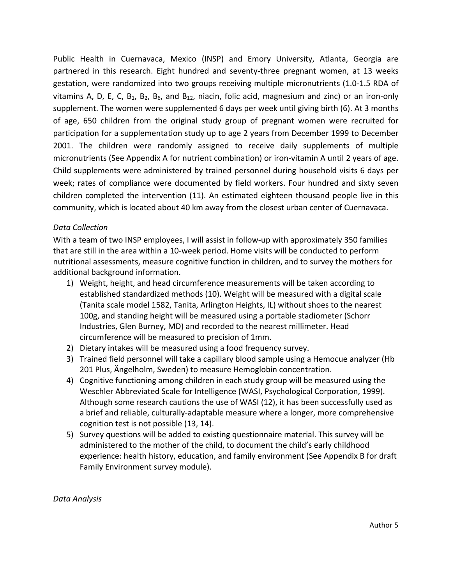Public Health in Cuernavaca, Mexico (INSP) and Emory University, Atlanta, Georgia are partnered in this research. Eight hundred and seventy-three pregnant women, at 13 weeks gestation, were randomized into two groups receiving multiple micronutrients (1.0-1.5 RDA of vitamins A, D, E, C, B<sub>1</sub>, B<sub>2</sub>, B<sub>6</sub>, and B<sub>12</sub>, niacin, folic acid, magnesium and zinc) or an iron-only supplement. The women were supplemented 6 days per week until giving birth (6). At 3 months of age, 650 children from the original study group of pregnant women were recruited for participation for a supplementation study up to age 2 years from December 1999 to December 2001. The children were randomly assigned to receive daily supplements of multiple micronutrients (See Appendix A for nutrient combination) or iron-vitamin A until 2 years of age. Child supplements were administered by trained personnel during household visits 6 days per week; rates of compliance were documented by field workers. Four hundred and sixty seven children completed the intervention (11). An estimated eighteen thousand people live in this community, which is located about 40 km away from the closest urban center of Cuernavaca.

### *Data Collection*

With a team of two INSP employees, I will assist in follow-up with approximately 350 families that are still in the area within a 10-week period. Home visits will be conducted to perform nutritional assessments, measure cognitive function in children, and to survey the mothers for additional background information.

- 1) Weight, height, and head circumference measurements will be taken according to established standardized methods (10). Weight will be measured with a digital scale (Tanita scale model 1582, Tanita, Arlington Heights, IL) without shoes to the nearest 100g, and standing height will be measured using a portable stadiometer (Schorr Industries, Glen Burney, MD) and recorded to the nearest millimeter. Head circumference will be measured to precision of 1mm.
- 2) Dietary intakes will be measured using a food frequency survey.
- 3) Trained field personnel will take a capillary blood sample using a Hemocue analyzer (Hb 201 Plus, Angelholm, Sweden) to measure Hemoglobin concentration.
- 4) Cognitive functioning among children in each study group will be measured using the Weschler Abbreviated Scale for Intelligence (WASI, Psychological Corporation, 1999). Although some research cautions the use of WASI  $(12)$ , it has been successfully used as a brief and reliable, culturally-adaptable measure where a longer, more comprehensive cognition test is not possible (13, 14).
- 5) Survey questions will be added to existing questionnaire material. This survey will be administered to the mother of the child, to document the child's early childhood experience: health history, education, and family environment (See Appendix B for draft Family Environment survey module).

*Data Analysis*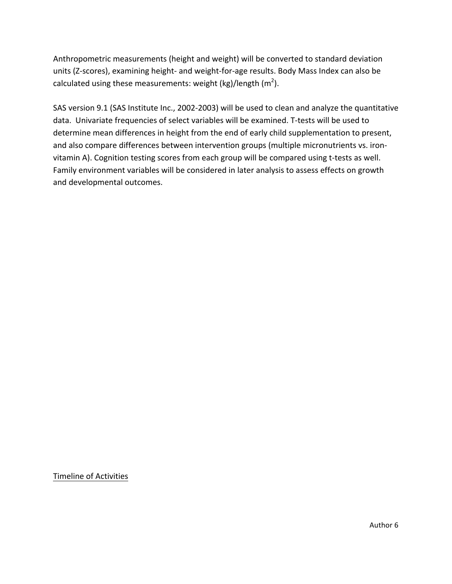Anthropometric measurements (height and weight) will be converted to standard deviation units (Z-scores), examining height- and weight-for-age results. Body Mass Index can also be calculated using these measurements: weight (kg)/length (m<sup>2</sup>).

SAS version 9.1 (SAS Institute Inc., 2002-2003) will be used to clean and analyze the quantitative data. Univariate frequencies of select variables will be examined. T-tests will be used to determine mean differences in height from the end of early child supplementation to present, and also compare differences between intervention groups (multiple micronutrients vs. ironvitamin A). Cognition testing scores from each group will be compared using t-tests as well. Family environment variables will be considered in later analysis to assess effects on growth and developmental outcomes.

#### Timeline of Activities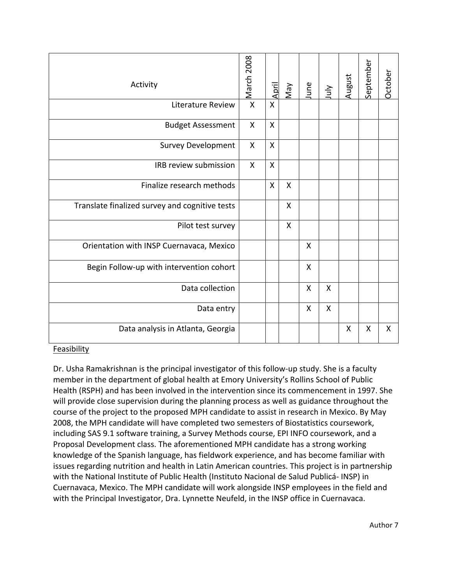| Activity                                       | March 2008   | <u>April</u> | VeW          | June | July         | August | September | October |
|------------------------------------------------|--------------|--------------|--------------|------|--------------|--------|-----------|---------|
| <b>Literature Review</b>                       | $\mathsf{x}$ | $\mathsf{X}$ |              |      |              |        |           |         |
| <b>Budget Assessment</b>                       | X            | X            |              |      |              |        |           |         |
| <b>Survey Development</b>                      | X            | X            |              |      |              |        |           |         |
| IRB review submission                          | X            | $\mathsf{x}$ |              |      |              |        |           |         |
| Finalize research methods                      |              | $\mathsf{X}$ | X            |      |              |        |           |         |
| Translate finalized survey and cognitive tests |              |              | X            |      |              |        |           |         |
| Pilot test survey                              |              |              | $\mathsf{x}$ |      |              |        |           |         |
| Orientation with INSP Cuernavaca, Mexico       |              |              |              | X    |              |        |           |         |
| Begin Follow-up with intervention cohort       |              |              |              | X    |              |        |           |         |
| Data collection                                |              |              |              | X    | $\mathsf{X}$ |        |           |         |
| Data entry                                     |              |              |              | Χ    | Χ            |        |           |         |
| Data analysis in Atlanta, Georgia              |              |              |              |      |              | X      | X         | X       |

#### Feasibility

Dr. Usha Ramakrishnan is the principal investigator of this follow-up study. She is a faculty member in the department of global health at Emory University's Rollins School of Public Health (RSPH) and has been involved in the intervention since its commencement in 1997. She will provide close supervision during the planning process as well as guidance throughout the course of the project to the proposed MPH candidate to assist in research in Mexico. By May 2008, the MPH candidate will have completed two semesters of Biostatistics coursework, including SAS 9.1 software training, a Survey Methods course, EPI INFO coursework, and a Proposal Development class. The aforementioned MPH candidate has a strong working knowledge of the Spanish language, has fieldwork experience, and has become familiar with issues regarding nutrition and health in Latin American countries. This project is in partnership with the National Institute of Public Health (Instituto Nacional de Salud Publicá- INSP) in Cuernavaca, Mexico. The MPH candidate will work alongside INSP employees in the field and with the Principal Investigator, Dra. Lynnette Neufeld, in the INSP office in Cuernavaca.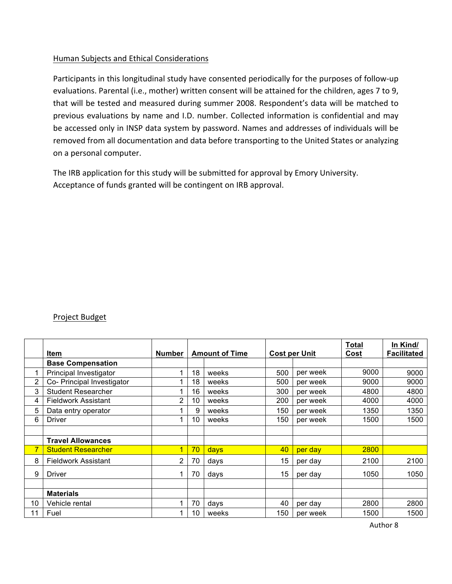### Human Subjects and Ethical Considerations

Participants in this longitudinal study have consented periodically for the purposes of follow-up evaluations. Parental (i.e., mother) written consent will be attained for the children, ages 7 to 9, that will be tested and measured during summer 2008. Respondent's data will be matched to previous evaluations by name and I.D. number. Collected information is confidential and may be accessed only in INSP data system by password. Names and addresses of individuals will be removed from all documentation and data before transporting to the United States or analyzing on a personal computer.

The IRB application for this study will be submitted for approval by Emory University. Acceptance of funds granted will be contingent on IRB approval.

#### Project Budget

|    | Item                       | <b>Number</b>  |    | <b>Amount of Time</b> |     | <b>Cost per Unit</b> | Total<br>Cost | In Kind/<br><b>Facilitated</b> |
|----|----------------------------|----------------|----|-----------------------|-----|----------------------|---------------|--------------------------------|
|    | <b>Base Compensation</b>   |                |    |                       |     |                      |               |                                |
| 1  | Principal Investigator     |                | 18 | weeks                 | 500 | per week             | 9000          | 9000                           |
| 2  | Co- Principal Investigator |                | 18 | weeks                 | 500 | per week             | 9000          | 9000                           |
| 3  | <b>Student Researcher</b>  |                | 16 | weeks                 | 300 | per week             | 4800          | 4800                           |
| 4  | <b>Fieldwork Assistant</b> | $\overline{2}$ | 10 | weeks                 | 200 | per week             | 4000          | 4000                           |
| 5  | Data entry operator        |                | 9  | weeks                 | 150 | per week             | 1350          | 1350                           |
| 6  | <b>Driver</b>              |                | 10 | weeks                 | 150 | per week             | 1500          | 1500                           |
|    |                            |                |    |                       |     |                      |               |                                |
|    | <b>Travel Allowances</b>   |                |    |                       |     |                      |               |                                |
| 7  | <b>Student Researcher</b>  | 1              | 70 | <b>days</b>           | 40  | per day              | 2800          |                                |
| 8  | Fieldwork Assistant        | $\overline{2}$ | 70 | days                  | 15  | per day              | 2100          | 2100                           |
| 9  | <b>Driver</b>              |                | 70 | days                  | 15  | per day              | 1050          | 1050                           |
|    | <b>Materials</b>           |                |    |                       |     |                      |               |                                |
| 10 | Vehicle rental             |                | 70 | days                  | 40  | per day              | 2800          | 2800                           |
| 11 | Fuel                       |                | 10 | weeks                 | 150 | per week             | 1500          | 1500                           |

Author 8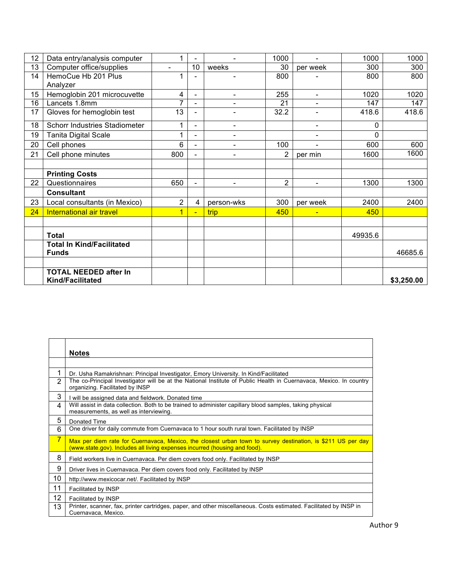| 12 | Data entry/analysis computer     |                |                |                          | 1000           |                          | 1000     | 1000       |
|----|----------------------------------|----------------|----------------|--------------------------|----------------|--------------------------|----------|------------|
| 13 | Computer office/supplies         | $\blacksquare$ | 10             | weeks                    | 30             | per week                 | 300      | 300        |
| 14 | HemoCue Hb 201 Plus              |                |                |                          | 800            |                          | 800      | 800        |
|    | Analyzer                         |                |                |                          |                |                          |          |            |
| 15 | Hemoglobin 201 microcuvette      | 4              | $\blacksquare$ | $\overline{\phantom{0}}$ | 255            | $\overline{\phantom{a}}$ | 1020     | 1020       |
| 16 | Lancets 1.8mm                    | 7              | ٠              | $\overline{\phantom{0}}$ | 21             | $\blacksquare$           | 147      | 147        |
| 17 | Gloves for hemoglobin test       | 13             |                | -                        | 32.2           |                          | 418.6    | 418.6      |
| 18 | Schorr Industries Stadiometer    |                |                | $\overline{\phantom{a}}$ |                | $\overline{\phantom{a}}$ | 0        |            |
| 19 | <b>Tanita Digital Scale</b>      |                |                | $\overline{\phantom{0}}$ |                | $\overline{\phantom{a}}$ | $\Omega$ |            |
| 20 | Cell phones                      | 6              |                | $\overline{a}$           | 100            |                          | 600      | 600        |
| 21 | Cell phone minutes               | 800            |                | $\blacksquare$           | $\overline{2}$ | per min                  | 1600     | 1600       |
|    |                                  |                |                |                          |                |                          |          |            |
|    | <b>Printing Costs</b>            |                |                |                          |                |                          |          |            |
| 22 | Questionnaires                   | 650            |                | $\overline{\phantom{0}}$ | $\overline{2}$ |                          | 1300     | 1300       |
|    | <b>Consultant</b>                |                |                |                          |                |                          |          |            |
| 23 | Local consultants (in Mexico)    | $\overline{2}$ | 4              | person-wks               | 300            | per week                 | 2400     | 2400       |
| 24 | International air travel         | $\overline{1}$ | $\blacksquare$ | trip                     | 450            | $\blacksquare$           | 450      |            |
|    |                                  |                |                |                          |                |                          |          |            |
|    | <b>Total</b>                     |                |                |                          |                |                          | 49935.6  |            |
|    | <b>Total In Kind/Facilitated</b> |                |                |                          |                |                          |          |            |
|    | <b>Funds</b>                     |                |                |                          |                |                          |          | 46685.6    |
|    |                                  |                |                |                          |                |                          |          |            |
|    | <b>TOTAL NEEDED after In</b>     |                |                |                          |                |                          |          |            |
|    | <b>Kind/Facilitated</b>          |                |                |                          |                |                          |          | \$3,250.00 |

|                | <b>Notes</b>                                                                                                                                                                              |
|----------------|-------------------------------------------------------------------------------------------------------------------------------------------------------------------------------------------|
|                |                                                                                                                                                                                           |
| 1              | Dr. Usha Ramakrishnan: Principal Investigator, Emory University. In Kind/Facilitated                                                                                                      |
| $\overline{2}$ | The co-Principal Investigator will be at the National Institute of Public Health in Cuernavaca, Mexico. In country<br>organizing. Facilitated by INSP                                     |
| 3              | I will be assigned data and fieldwork. Donated time                                                                                                                                       |
| 4              | Will assist in data collection. Both to be trained to administer capillary blood samples, taking physical<br>measurements, as well as interviewing.                                       |
| 5              | Donated Time                                                                                                                                                                              |
| 6              | One driver for daily commute from Cuernavaca to 1 hour south rural town. Facilitated by INSP                                                                                              |
| 7              | Max per diem rate for Cuernavaca, Mexico, the closest urban town to survey destination, is \$211 US per day<br>(www.state.gov). Includes all living expenses incurred (housing and food). |
| 8              | Field workers live in Cuernavaca. Per diem covers food only. Facilitated by INSP                                                                                                          |
| 9              | Driver lives in Cuernavaca. Per diem covers food only. Facilitated by INSP                                                                                                                |
| 10             | http://www.mexicocar.net/. Facilitated by INSP                                                                                                                                            |
| 11             | Facilitated by INSP                                                                                                                                                                       |
| 12             | Facilitated by INSP                                                                                                                                                                       |
| 13             | Printer, scanner, fax, printer cartridges, paper, and other miscellaneous. Costs estimated. Facilitated by INSP in<br>Cuernavaca, Mexico.                                                 |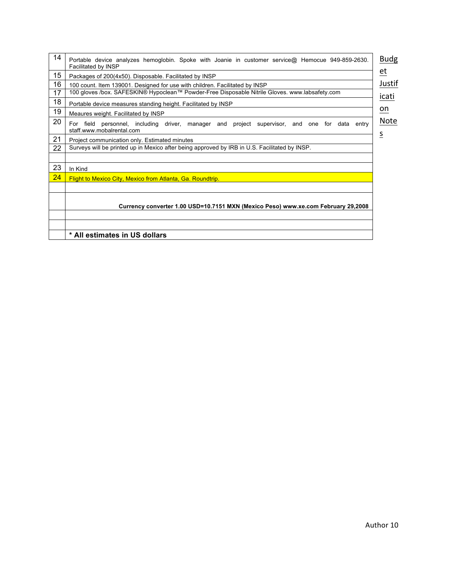| 14 | Portable device analyzes hemoglobin. Spoke with Joanie in customer service@ Hemocue 949-859-2630.<br>Facilitated by INSP                     | <b>Budg</b><br>$et$ |  |  |  |  |  |
|----|----------------------------------------------------------------------------------------------------------------------------------------------|---------------------|--|--|--|--|--|
| 15 | Packages of 200(4x50). Disposable. Facilitated by INSP                                                                                       |                     |  |  |  |  |  |
| 16 | 100 count. Item 139001. Designed for use with children. Facilitated by INSP                                                                  | Justif              |  |  |  |  |  |
| 17 | 100 gloves /box. SAFESKIN® Hypoclean™ Powder-Free Disposable Nitrile Gloves. www.labsafety.com                                               | icati               |  |  |  |  |  |
| 18 | Portable device measures standing height. Facilitated by INSP                                                                                |                     |  |  |  |  |  |
| 19 | Meaures weight. Facilitated by INSP                                                                                                          | $on$                |  |  |  |  |  |
| 20 | personnel, including driver, manager<br>For field<br>project supervisor, and one<br>for<br>data<br>and<br>entry<br>staff.www.mobalrental.com | Note                |  |  |  |  |  |
| 21 | $\overline{\mathsf{S}}$<br>Project communication only. Estimated minutes                                                                     |                     |  |  |  |  |  |
| 22 | Surveys will be printed up in Mexico after being approved by IRB in U.S. Facilitated by INSP.                                                |                     |  |  |  |  |  |
|    |                                                                                                                                              |                     |  |  |  |  |  |
| 23 | In Kind                                                                                                                                      |                     |  |  |  |  |  |
| 24 | <b>Flight to Mexico City, Mexico from Atlanta, Ga. Roundtrip.</b>                                                                            |                     |  |  |  |  |  |
|    |                                                                                                                                              |                     |  |  |  |  |  |
|    |                                                                                                                                              |                     |  |  |  |  |  |
|    | Currency converter 1.00 USD=10.7151 MXN (Mexico Peso) www.xe.com February 29,2008                                                            |                     |  |  |  |  |  |
|    |                                                                                                                                              |                     |  |  |  |  |  |
|    |                                                                                                                                              |                     |  |  |  |  |  |
|    | * All estimates in US dollars                                                                                                                |                     |  |  |  |  |  |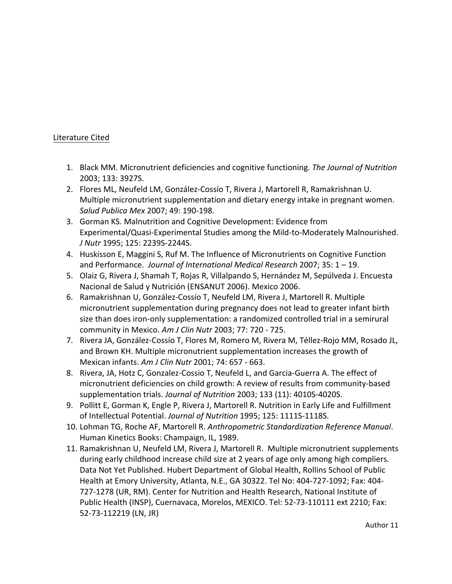## Literature Cited

- 1. Black MM. Micronutrient deficiencies and cognitive functioning. *The Journal of Nutrition* 2003; 133: 3927S.
- 2. Flores ML, Neufeld LM, González-Cossío T, Rivera J, Martorell R, Ramakrishnan U. Multiple micronutrient supplementation and dietary energy intake in pregnant women. *Salud Publica Mex* 2007; 49: 190-198.
- 3. Gorman KS. Malnutrition and Cognitive Development: Evidence from Experimental/Quasi-Experimental Studies among the Mild-to-Moderately Malnourished. *J* Nutr 1995; 125: 2239S-2244S.
- 4. Huskisson E, Maggini S, Ruf M. The Influence of Micronutrients on Cognitive Function and Performance. *Journal of International Medical Research* 2007; 35: 1 - 19.
- 5. Olaiz G, Rivera J, Shamah T, Rojas R, Villalpando S, Hernández M, Sepúlveda J. Encuesta Nacional de Salud y Nutrición (ENSANUT 2006). Mexico 2006.
- 6. Ramakrishnan U, González-Cossío T, Neufeld LM, Rivera J, Martorell R. Multiple micronutrient supplementation during pregnancy does not lead to greater infant birth size than does iron-only supplementation: a randomized controlled trial in a semirural community in Mexico. Am J Clin Nutr 2003; 77: 720 - 725.
- 7. Rivera JA, González-Cossío T, Flores M, Romero M, Rivera M, Téllez-Rojo MM, Rosado JL, and Brown KH. Multiple micronutrient supplementation increases the growth of Mexican infants. Am J Clin Nutr 2001; 74: 657 - 663.
- 8. Rivera, JA, Hotz C, Gonzalez-Cossio T, Neufeld L, and Garcia-Guerra A. The effect of micronutrient deficiencies on child growth: A review of results from community-based supplementation trials. *Journal of Nutrition* 2003; 133 (11): 4010S-4020S.
- 9. Pollitt E, Gorman K, Engle P, Rivera J, Martorell R. Nutrition in Early Life and Fulfillment of Intellectual Potential. Journal of Nutrition 1995; 125: 1111S-1118S.
- 10. Lohman TG, Roche AF, Martorell R. Anthropometric Standardization Reference Manual. Human Kinetics Books: Champaign, IL, 1989.
- 11. Ramakrishnan U, Neufeld LM, Rivera J, Martorell R. Multiple micronutrient supplements during early childhood increase child size at 2 years of age only among high compliers. Data Not Yet Published. Hubert Department of Global Health, Rollins School of Public Health at Emory University, Atlanta, N.E., GA 30322. Tel No: 404-727-1092; Fax: 404-727-1278 (UR, RM). Center for Nutrition and Health Research, National Institute of Public Health (INSP), Cuernavaca, Morelos, MEXICO. Tel: 52-73-110111 ext 2210; Fax: 52-73-112219 (LN, JR)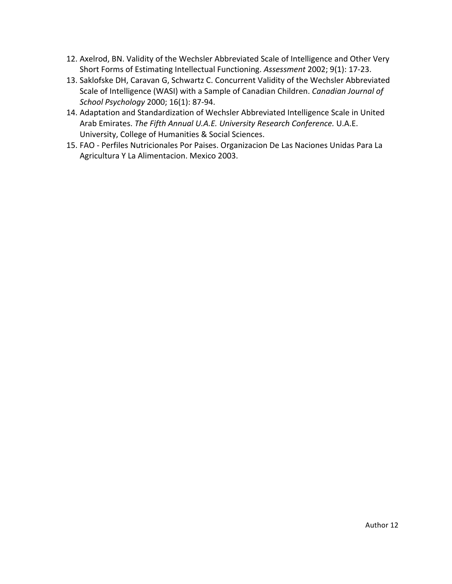- 12. Axelrod, BN. Validity of the Wechsler Abbreviated Scale of Intelligence and Other Very Short Forms of Estimating Intellectual Functioning. Assessment 2002; 9(1): 17-23.
- 13. Saklofske DH, Caravan G, Schwartz C. Concurrent Validity of the Wechsler Abbreviated Scale of Intelligence (WASI) with a Sample of Canadian Children. *Canadian Journal of School Psychology* 2000; 16(1): 87-94.
- 14. Adaptation and Standardization of Wechsler Abbreviated Intelligence Scale in United Arab Emirates. The Fifth Annual U.A.E. University Research Conference. U.A.E. University, College of Humanities & Social Sciences.
- 15. FAO Perfiles Nutricionales Por Paises. Organizacion De Las Naciones Unidas Para La Agricultura Y La Alimentacion. Mexico 2003.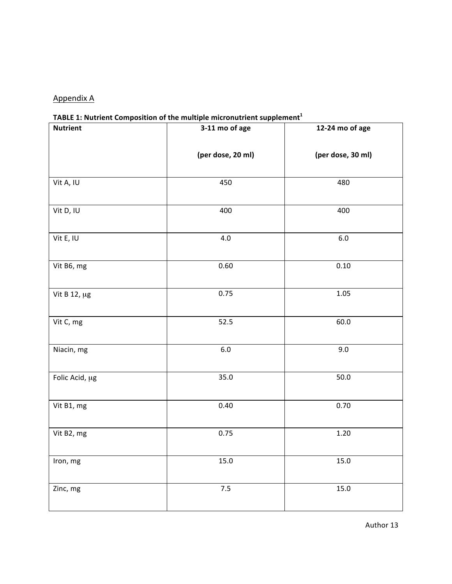# Appendix A

# **TABLE 1: Nutrient Composition of the multiple micronutrient supplement<sup>1</sup>**

| <b>Nutrient</b> | . .<br>3-11 mo of age | 12-24 mo of age   |
|-----------------|-----------------------|-------------------|
|                 | (per dose, 20 ml)     | (per dose, 30 ml) |
| Vit A, IU       | 450                   | 480               |
| Vit D, IU       | 400                   | 400               |
| Vit E, IU       | 4.0                   | $6.0\,$           |
| Vit B6, mg      | 0.60                  | $0.10\,$          |
| Vit B 12, µg    | 0.75                  | 1.05              |
| Vit C, mg       | 52.5                  | 60.0              |
| Niacin, mg      | $6.0\,$               | 9.0               |
| Folic Acid, µg  | 35.0                  | $50.0$            |
| Vit B1, mg      | 0.40                  | 0.70              |
| Vit B2, mg      | 0.75                  | $1.20\,$          |
| Iron, mg        | $15.0\,$              | 15.0              |
| Zinc, mg        | $7.5$                 | 15.0              |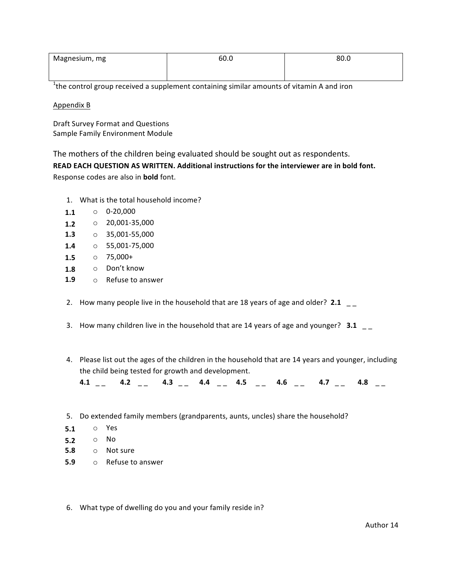| Magnesium, mg | 60.0 | 80.0 |
|---------------|------|------|
|               |      |      |

 $1$ the control group received a supplement containing similar amounts of vitamin A and iron

Appendix **B** 

Draft Survey Format and Questions Sample Family Environment Module

The mothers of the children being evaluated should be sought out as respondents.

**READ EACH QUESTION AS WRITTEN. Additional instructions for the interviewer are in bold font.** Response codes are also in **bold** font.

- 1. What is the total household income?
- $O 20,000$ **1.1**
- o 20,001-35,000 **1.2**
- o 35,001-55,000 **1.3**
- o 55,001-75,000 **1.4**
- $\circ$  75.000+ **1.5**
- o Don't know **1.8**
- $\circ$  Refuse to answer **1.9**
- 2. How many people live in the household that are 18 years of age and older?  $2.1 \t_{-}$
- 3. How many children live in the household that are 14 years of age and younger?  $3.1 \quad -$
- 4. Please list out the ages of the children in the household that are 14 years and younger, including the child being tested for growth and development.

| 4.1 | $\blacksquare$ | 4.3 | 44 | 4.5 | 4.6 |      |
|-----|----------------|-----|----|-----|-----|------|
|     |                |     |    |     |     | ____ |

- 5. Do extended family members (grandparents, aunts, uncles) share the household?
- o Yes **5.1**
- o No **5.2**
- o Not sure **5.8**
- o Refuse to answer **5.9**
- 6. What type of dwelling do you and your family reside in?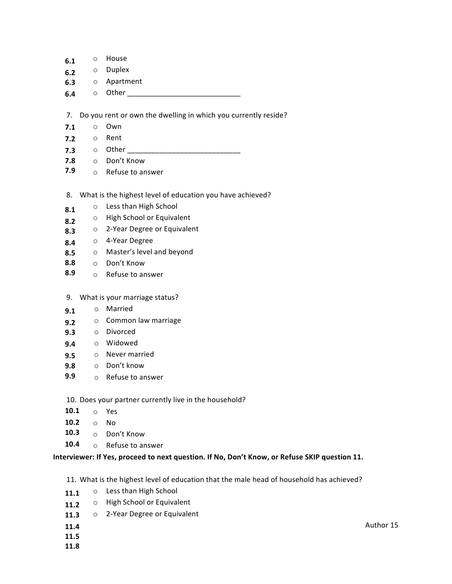- o House **6.1**
- o Duplex **6.2**
- o Apartment **6.3**
- $\circ$  Other **6.4**

7. Do you rent or own the dwelling in which you currently reside?

- o Own **7.1**
- o Rent **7.2**
- o Other \_\_\_\_\_\_\_\_\_\_\_\_\_\_\_\_\_\_\_\_\_\_\_\_\_\_\_\_ **7.3**
- o Don't Know **7.8**
- $\circ$  Refuse to answer **7.9**
- 8. What is the highest level of education you have achieved?
- o Less than High School **8.1**
- o High School or Equivalent **8.2**
- o 2-Year Degree or Equivalent **8.3**
- o 4-Year Degree **8.4**
- o Master's level and beyond **8.5**
- o Don't Know **8.8**
- $\circ$  Refuse to answer **8.9**
- 9. What is your marriage status?
- o Married **9.1**
- o Common law marriage **9.2**
- o Divorced **9.3**
- o Widowed **9.4**
- $\circ$  Never married **9.5**
- o Don't know **9.8**
- o Refuse to answer **9.9**

10. Does your partner currently live in the household?

- o Yes **10.1**
- o No **10.2**
- o Don't Know **10.3**
- $\circ$  Refuse to answer **10.4**

#### Interviewer: If Yes, proceed to next question. If No, Don't Know, or Refuse SKIP question 11.

11. What is the highest level of education that the male head of household has achieved?

- o Less than High School **11.1**
- o High School or Equivalent **11.2**
- o 2-Year Degree or Equivalent **11.3**
- **11.4**
- **11.5**
- **11.8**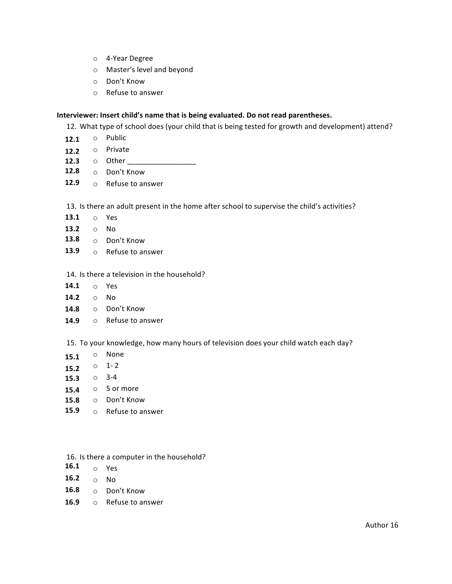- o 4-Year Degree
- o Master's level and beyond
- o Don't Know
- o Refuse to answer

#### **Interviewer:** Insert child's name that is being evaluated. Do not read parentheses.

12. What type of school does (your child that is being tested for growth and development) attend?

- **12.1** o Public
- **12.2** o Private
- **12.3** o Other \_\_\_\_\_\_\_\_\_\_\_\_\_\_\_\_\_
- **12.8** o Don't Know
- **12.9** o Refuse to answer

13. Is there an adult present in the home after school to supervise the child's activities?

- o Yes **13.1**
- o No **13.2**
- **13.8** o Don't Know
- 13.9 o Refuse to answer

#### 14. Is there a television in the household?

- **14.1** o Yes
- **14.2** o No
- **14.8** o Don't Know
- **14.9** o Refuse to answer

15. To your knowledge, how many hours of television does your child watch each day?

- o None **15.1**
- **15.2**  $\circ$  1-2
- **15.3** 3-4
- **15.4**  $\circ$  5 or more
- 15.8 o Don't Know
- **15.9** o Refuse to answer
- 16. Is there a computer in the household?
- **16.1** o Yes
- **16.2** o No
- **16.8** o Don't Know
- **16.9** Refuse to answer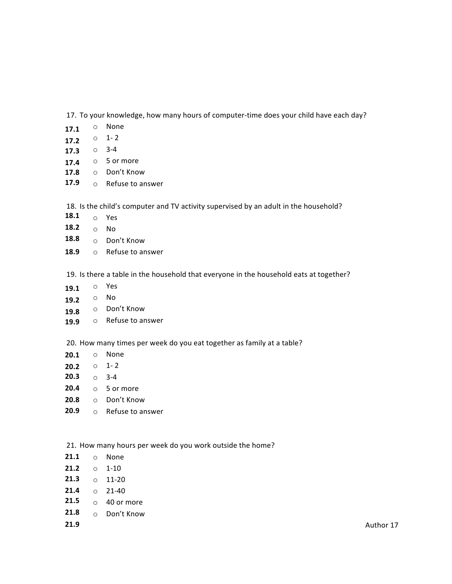17. To your knowledge, how many hours of computer-time does your child have each day?

- o None **17.1**
- $\circ$  1-2 **17.2**
- **17.3** 3-4
- **17.4**  $\circ$  5 or more
- 17.8 o Don't Know
- o Refuse to answer **17.9**

18. Is the child's computer and TV activity supervised by an adult in the household?

- **18.1** o Yes
- **18.2** o No
- **18.8** o Don't Know
- **18.9** o Refuse to answer

19. Is there a table in the household that everyone in the household eats at together?

- **19.1** o Yes
- **19.2** o No
- **19.8** o Don't Know
- **19.9** o Refuse to answer

20. How many times per week do you eat together as family at a table?

- o None **20.1**
- **20.2** 0 1-2
- **20.3** 0 3-4
- **20.4** 5 or more
- o Don't Know **20.8**
- **20.9** o Refuse to answer

21. How many hours per week do you work outside the home?

- **21.1** o None
- **21.2** o 1-10
- **21.3**  $\circ$  11-20
- **21.4**  $\circ$  21-40
- **21.5** 0 40 or more
- **21.8** o Don't Know
- **21.9**